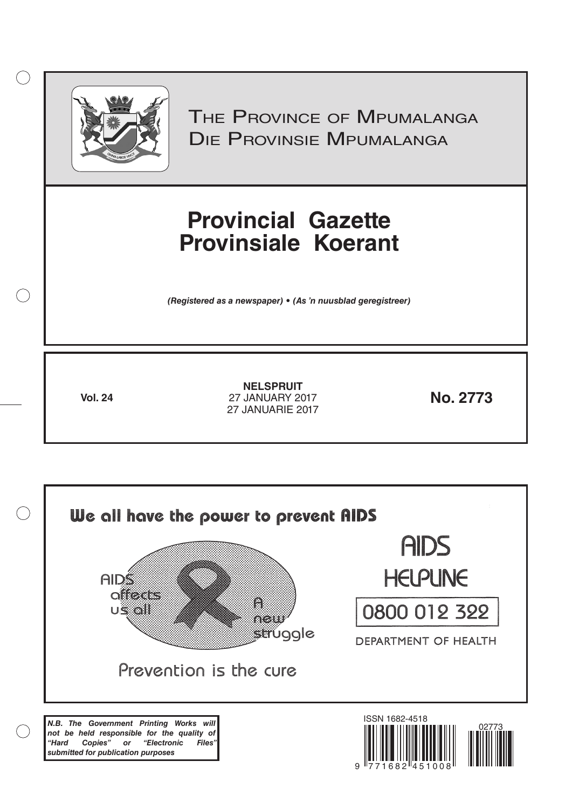

 $\bigcirc$ 

THE PROVINCE OF MPUMALANGA Die Provinsie Mpumalanga

# **Provincial Gazette Provinsiale Koerant**

*(Registered as a newspaper) • (As 'n nuusblad geregistreer)*

**Vol. 24 No. 2773** 27 JANUARY 2017 **NELSPRUIT** 27 JANUARIE 2017

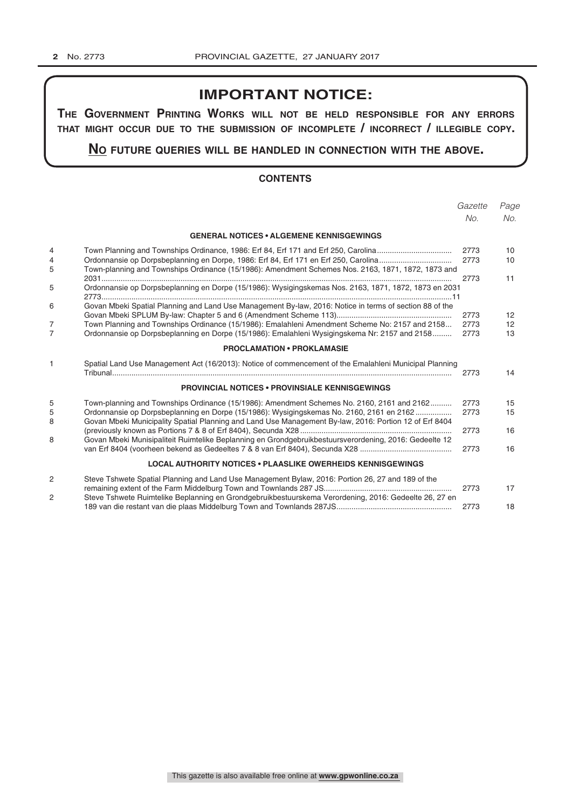# **IMPORTANT NOTICE:**

**The GovernmenT PrinTinG Works Will noT be held resPonsible for any errors ThaT miGhT occur due To The submission of incomPleTe / incorrecT / illeGible coPy.**

### **no fuTure queries Will be handled in connecTion WiTh The above.**

#### **CONTENTS**

|                     |                                                                                                                                                                                                                                                                                                            | Gazette              | Page                                       |
|---------------------|------------------------------------------------------------------------------------------------------------------------------------------------------------------------------------------------------------------------------------------------------------------------------------------------------------|----------------------|--------------------------------------------|
|                     |                                                                                                                                                                                                                                                                                                            | No.                  | No.                                        |
|                     | <b>GENERAL NOTICES • ALGEMENE KENNISGEWINGS</b>                                                                                                                                                                                                                                                            |                      |                                            |
| 4<br>4<br>5         | Town-planning and Townships Ordinance (15/1986): Amendment Schemes Nos. 2163, 1871, 1872, 1873 and                                                                                                                                                                                                         | 2773<br>2773         | 10<br>10                                   |
| 5                   | Ordonnansie op Dorpsbeplanning en Dorpe (15/1986): Wysigingskemas Nos. 2163, 1871, 1872, 1873 en 2031                                                                                                                                                                                                      | 2773                 | 11                                         |
| 6<br>$\overline{7}$ | Govan Mbeki Spatial Planning and Land Use Management By-law, 2016: Notice in terms of section 88 of the<br>Town Planning and Townships Ordinance (15/1986): Emalahleni Amendment Scheme No: 2157 and 2158<br>Ordonnansie op Dorpsbeplanning en Dorpe (15/1986): Emalahleni Wysigingskema Nr: 2157 and 2158 | 2773<br>2773<br>2773 | 12 <sup>2</sup><br>$12 \overline{ }$<br>13 |
|                     | <b>PROCLAMATION • PROKLAMASIE</b>                                                                                                                                                                                                                                                                          |                      |                                            |
| 1                   | Spatial Land Use Management Act (16/2013): Notice of commencement of the Emalahleni Municipal Planning                                                                                                                                                                                                     | 2773                 | 14                                         |
|                     | <b>PROVINCIAL NOTICES • PROVINSIALE KENNISGEWINGS</b>                                                                                                                                                                                                                                                      |                      |                                            |
| 5<br>5<br>8         | Town-planning and Townships Ordinance (15/1986): Amendment Schemes No. 2160, 2161 and 2162<br>Ordonnansie op Dorpsbeplanning en Dorpe (15/1986): Wysigingskemas No. 2160, 2161 en 2162<br>Govan Mbeki Municipality Spatial Planning and Land Use Management By-law, 2016: Portion 12 of Erf 8404           | 2773<br>2773         | 15<br>15                                   |
| 8                   | Govan Mbeki Munisipaliteit Ruimtelike Beplanning en Grondgebruikbestuursverordening, 2016: Gedeelte 12                                                                                                                                                                                                     | 2773<br>2773         | 16<br>16                                   |
|                     | <b>LOCAL AUTHORITY NOTICES • PLAASLIKE OWERHEIDS KENNISGEWINGS</b>                                                                                                                                                                                                                                         |                      |                                            |
| 2                   | Steve Tshwete Spatial Planning and Land Use Management Bylaw, 2016: Portion 26, 27 and 189 of the                                                                                                                                                                                                          | 2773                 | 17                                         |
| 2                   | Steve Tshwete Ruimtelike Beplanning en Grondgebruikbestuurskema Verordening, 2016: Gedeelte 26, 27 en                                                                                                                                                                                                      | 2773                 | 18                                         |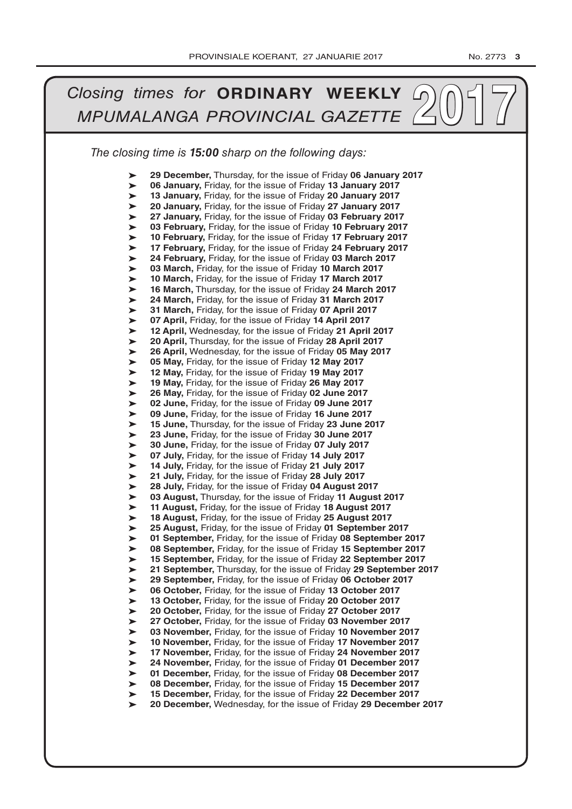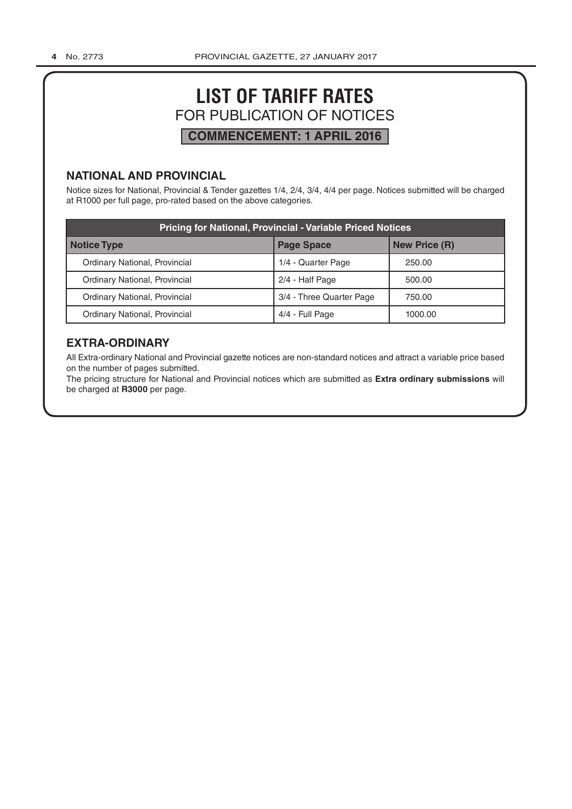# **LIST OF TARIFF RATES** FOR PUBLICATION OF NOTICES **COMMENCEMENT: 1 APRIL 2016**

#### **NATIONAL AND PROVINCIAL**

Notice sizes for National, Provincial & Tender gazettes 1/4, 2/4, 3/4, 4/4 per page. Notices submitted will be charged at R1000 per full page, pro-rated based on the above categories.

| <b>Pricing for National, Provincial - Variable Priced Notices</b> |                          |                      |  |  |  |  |
|-------------------------------------------------------------------|--------------------------|----------------------|--|--|--|--|
| Notice Type                                                       | <b>Page Space</b>        | <b>New Price (R)</b> |  |  |  |  |
| Ordinary National, Provincial                                     | 1/4 - Quarter Page       | 250.00               |  |  |  |  |
| Ordinary National, Provincial                                     | 2/4 - Half Page          | 500.00               |  |  |  |  |
| Ordinary National, Provincial                                     | 3/4 - Three Quarter Page | 750.00               |  |  |  |  |
| Ordinary National, Provincial                                     | 4/4 - Full Page          | 1000.00              |  |  |  |  |

# **EXTRA-ORDINARY**

All Extra-ordinary National and Provincial gazette notices are non-standard notices and attract a variable price based on the number of pages submitted.

The pricing structure for National and Provincial notices which are submitted as **Extra ordinary submissions** will be charged at **R3000** per page.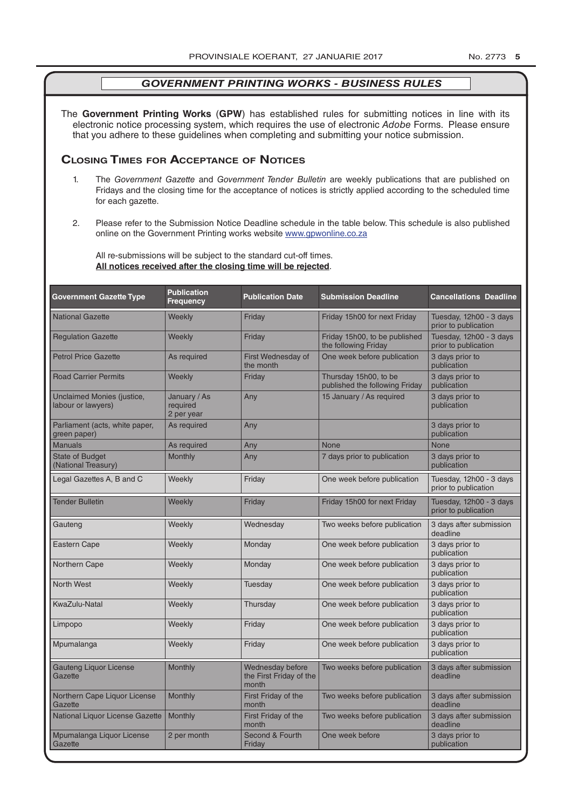The **Government Printing Works** (**GPW**) has established rules for submitting notices in line with its electronic notice processing system, which requires the use of electronic *Adobe* Forms. Please ensure that you adhere to these guidelines when completing and submitting your notice submission.

### **Closing Times for ACCepTAnCe of noTiCes**

- 1. The *Government Gazette* and *Government Tender Bulletin* are weekly publications that are published on Fridays and the closing time for the acceptance of notices is strictly applied according to the scheduled time for each gazette.
- 2. Please refer to the Submission Notice Deadline schedule in the table below. This schedule is also published online on the Government Printing works website www.gpwonline.co.za

All re-submissions will be subject to the standard cut-off times. **All notices received after the closing time will be rejected**.

| <b>Government Gazette Type</b>                                                                    | <b>Publication</b><br><b>Frequency</b> | <b>Publication Date</b>                              | <b>Submission Deadline</b>                              | <b>Cancellations Deadline</b>                   |  |
|---------------------------------------------------------------------------------------------------|----------------------------------------|------------------------------------------------------|---------------------------------------------------------|-------------------------------------------------|--|
| <b>National Gazette</b>                                                                           | Weekly                                 | Friday                                               | Friday 15h00 for next Friday                            | Tuesday, 12h00 - 3 days<br>prior to publication |  |
| <b>Regulation Gazette</b>                                                                         | Weekly                                 | Friday                                               | Friday 15h00, to be published<br>the following Friday   | Tuesday, 12h00 - 3 days<br>prior to publication |  |
| <b>Petrol Price Gazette</b>                                                                       | As required                            | First Wednesday of<br>the month                      | One week before publication                             | 3 days prior to<br>publication                  |  |
| <b>Road Carrier Permits</b>                                                                       | Weekly                                 | Friday                                               | Thursday 15h00, to be<br>published the following Friday | 3 days prior to<br>publication                  |  |
| Unclaimed Monies (justice,<br>January / As<br>Any<br>labour or lawyers)<br>required<br>2 per year |                                        | 15 January / As required                             | 3 days prior to<br>publication                          |                                                 |  |
| Parliament (acts, white paper,<br>green paper)                                                    | As required                            | Any                                                  |                                                         | 3 days prior to<br>publication                  |  |
| <b>Manuals</b>                                                                                    | As required                            | Any                                                  | <b>None</b>                                             | <b>None</b>                                     |  |
| <b>State of Budget</b><br>(National Treasury)                                                     | <b>Monthly</b>                         | Any                                                  | 7 days prior to publication                             | 3 days prior to<br>publication                  |  |
| Legal Gazettes A, B and C                                                                         | Weekly                                 | Friday                                               | One week before publication                             | Tuesday, 12h00 - 3 days<br>prior to publication |  |
| <b>Tender Bulletin</b>                                                                            | Weekly                                 | Friday                                               | Friday 15h00 for next Friday                            | Tuesday, 12h00 - 3 days<br>prior to publication |  |
| Gauteng                                                                                           | Weekly                                 | Wednesday                                            | Two weeks before publication                            | 3 days after submission<br>deadline             |  |
| <b>Eastern Cape</b>                                                                               | Weekly                                 | Monday                                               | One week before publication                             | 3 days prior to<br>publication                  |  |
| Northern Cape                                                                                     | Weekly                                 | Monday                                               | One week before publication                             | 3 days prior to<br>publication                  |  |
| <b>North West</b>                                                                                 | Weekly                                 | Tuesday                                              | One week before publication                             | 3 days prior to<br>publication                  |  |
| KwaZulu-Natal                                                                                     | Weekly                                 | Thursday                                             | One week before publication                             | 3 days prior to<br>publication                  |  |
| Limpopo                                                                                           | Weekly                                 | Friday                                               | One week before publication                             | 3 days prior to<br>publication                  |  |
| Mpumalanga                                                                                        | Weekly                                 | Friday                                               | One week before publication                             | 3 days prior to<br>publication                  |  |
| <b>Gauteng Liquor License</b><br>Gazette                                                          | Monthly                                | Wednesday before<br>the First Friday of the<br>month | Two weeks before publication                            | 3 days after submission<br>deadline             |  |
| Northern Cape Liquor License<br>Gazette                                                           | Monthly                                | First Friday of the<br>month                         | Two weeks before publication                            | 3 days after submission<br>deadline             |  |
| National Liquor License Gazette                                                                   | Monthly                                | First Friday of the<br>month                         | Two weeks before publication                            | 3 days after submission<br>deadline             |  |
| Mpumalanga Liquor License<br>Gazette                                                              | 2 per month                            | Second & Fourth<br>Friday                            | One week before                                         | 3 days prior to<br>publication                  |  |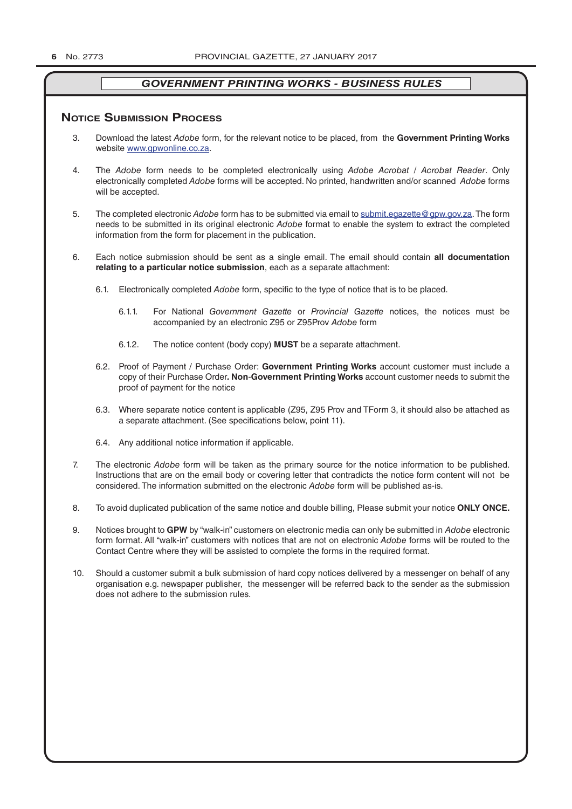#### **NOTICE SUBMISSION PROCESS**

- 3. Download the latest *Adobe* form, for the relevant notice to be placed, from the **Government Printing Works** website www.gpwonline.co.za.
- 4. The *Adobe* form needs to be completed electronically using *Adobe Acrobat* / *Acrobat Reader*. Only electronically completed *Adobe* forms will be accepted. No printed, handwritten and/or scanned *Adobe* forms will be accepted.
- 5. The completed electronic *Adobe* form has to be submitted via email to submit.egazette@gpw.gov.za. The form needs to be submitted in its original electronic *Adobe* format to enable the system to extract the completed information from the form for placement in the publication.
- 6. Each notice submission should be sent as a single email. The email should contain **all documentation relating to a particular notice submission**, each as a separate attachment:
	- 6.1. Electronically completed *Adobe* form, specific to the type of notice that is to be placed.
		- 6.1.1. For National *Government Gazette* or *Provincial Gazette* notices, the notices must be accompanied by an electronic Z95 or Z95Prov *Adobe* form
		- 6.1.2. The notice content (body copy) **MUST** be a separate attachment.
	- 6.2. Proof of Payment / Purchase Order: **Government Printing Works** account customer must include a copy of their Purchase Order*.* **Non**-**Government Printing Works** account customer needs to submit the proof of payment for the notice
	- 6.3. Where separate notice content is applicable (Z95, Z95 Prov and TForm 3, it should also be attached as a separate attachment. (See specifications below, point 11).
	- 6.4. Any additional notice information if applicable.
- 7. The electronic *Adobe* form will be taken as the primary source for the notice information to be published. Instructions that are on the email body or covering letter that contradicts the notice form content will not be considered. The information submitted on the electronic *Adobe* form will be published as-is.
- 8. To avoid duplicated publication of the same notice and double billing, Please submit your notice **ONLY ONCE.**
- 9. Notices brought to **GPW** by "walk-in" customers on electronic media can only be submitted in *Adobe* electronic form format. All "walk-in" customers with notices that are not on electronic *Adobe* forms will be routed to the Contact Centre where they will be assisted to complete the forms in the required format.
- 10. Should a customer submit a bulk submission of hard copy notices delivered by a messenger on behalf of any organisation e.g. newspaper publisher, the messenger will be referred back to the sender as the submission does not adhere to the submission rules.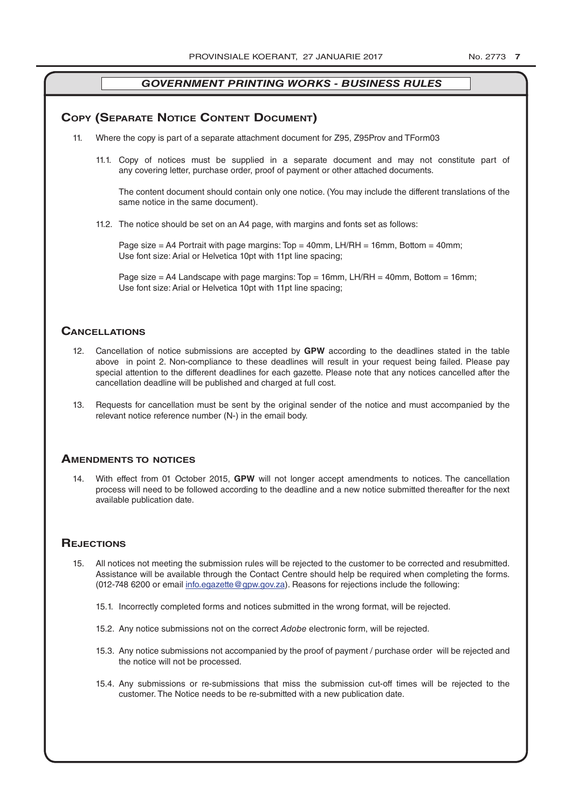#### **COPY (SEPARATE NOTICE CONTENT DOCUMENT)**

- 11. Where the copy is part of a separate attachment document for Z95, Z95Prov and TForm03
	- 11.1. Copy of notices must be supplied in a separate document and may not constitute part of any covering letter, purchase order, proof of payment or other attached documents.

The content document should contain only one notice. (You may include the different translations of the same notice in the same document).

11.2. The notice should be set on an A4 page, with margins and fonts set as follows:

Page size  $=$  A4 Portrait with page margins: Top  $=$  40mm, LH/RH  $=$  16mm, Bottom  $=$  40mm; Use font size: Arial or Helvetica 10pt with 11pt line spacing;

Page size = A4 Landscape with page margins:  $Top = 16$ mm, LH/RH = 40mm, Bottom = 16mm; Use font size: Arial or Helvetica 10pt with 11pt line spacing;

#### **CAnCellATions**

- 12. Cancellation of notice submissions are accepted by **GPW** according to the deadlines stated in the table above in point 2. Non-compliance to these deadlines will result in your request being failed. Please pay special attention to the different deadlines for each gazette. Please note that any notices cancelled after the cancellation deadline will be published and charged at full cost.
- 13. Requests for cancellation must be sent by the original sender of the notice and must accompanied by the relevant notice reference number (N-) in the email body.

#### **AmenDmenTs To noTiCes**

14. With effect from 01 October 2015, **GPW** will not longer accept amendments to notices. The cancellation process will need to be followed according to the deadline and a new notice submitted thereafter for the next available publication date.

#### **REJECTIONS**

- 15. All notices not meeting the submission rules will be rejected to the customer to be corrected and resubmitted. Assistance will be available through the Contact Centre should help be required when completing the forms. (012-748 6200 or email info.egazette@gpw.gov.za). Reasons for rejections include the following:
	- 15.1. Incorrectly completed forms and notices submitted in the wrong format, will be rejected.
	- 15.2. Any notice submissions not on the correct *Adobe* electronic form, will be rejected.
	- 15.3. Any notice submissions not accompanied by the proof of payment / purchase order will be rejected and the notice will not be processed.
	- 15.4. Any submissions or re-submissions that miss the submission cut-off times will be rejected to the customer. The Notice needs to be re-submitted with a new publication date.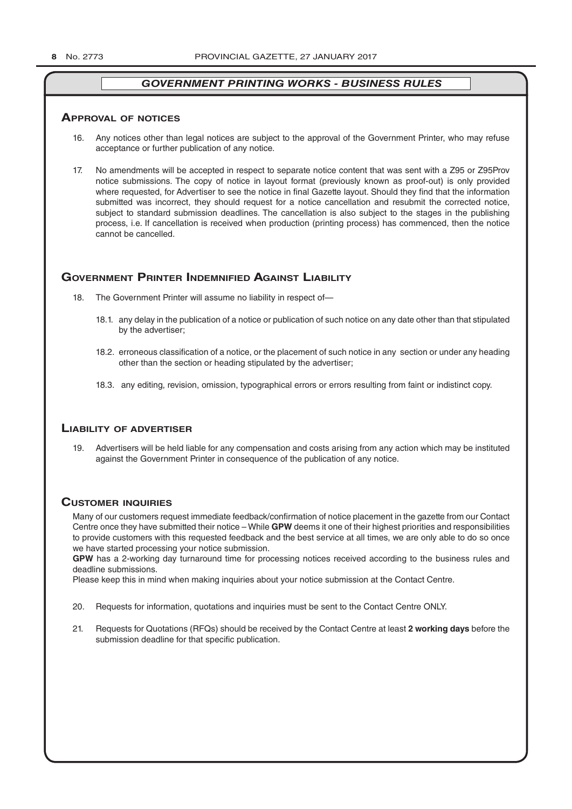#### **ApprovAl of noTiCes**

- 16. Any notices other than legal notices are subject to the approval of the Government Printer, who may refuse acceptance or further publication of any notice.
- 17. No amendments will be accepted in respect to separate notice content that was sent with a Z95 or Z95Prov notice submissions. The copy of notice in layout format (previously known as proof-out) is only provided where requested, for Advertiser to see the notice in final Gazette layout. Should they find that the information submitted was incorrect, they should request for a notice cancellation and resubmit the corrected notice, subject to standard submission deadlines. The cancellation is also subject to the stages in the publishing process, i.e. If cancellation is received when production (printing process) has commenced, then the notice cannot be cancelled.

#### **governmenT prinTer inDemnifieD AgAinsT liAbiliTy**

- 18. The Government Printer will assume no liability in respect of—
	- 18.1. any delay in the publication of a notice or publication of such notice on any date other than that stipulated by the advertiser;
	- 18.2. erroneous classification of a notice, or the placement of such notice in any section or under any heading other than the section or heading stipulated by the advertiser;
	- 18.3. any editing, revision, omission, typographical errors or errors resulting from faint or indistinct copy.

#### **liAbiliTy of ADverTiser**

19. Advertisers will be held liable for any compensation and costs arising from any action which may be instituted against the Government Printer in consequence of the publication of any notice.

#### **CusTomer inquiries**

Many of our customers request immediate feedback/confirmation of notice placement in the gazette from our Contact Centre once they have submitted their notice – While **GPW** deems it one of their highest priorities and responsibilities to provide customers with this requested feedback and the best service at all times, we are only able to do so once we have started processing your notice submission.

**GPW** has a 2-working day turnaround time for processing notices received according to the business rules and deadline submissions.

Please keep this in mind when making inquiries about your notice submission at the Contact Centre.

- 20. Requests for information, quotations and inquiries must be sent to the Contact Centre ONLY.
- 21. Requests for Quotations (RFQs) should be received by the Contact Centre at least **2 working days** before the submission deadline for that specific publication.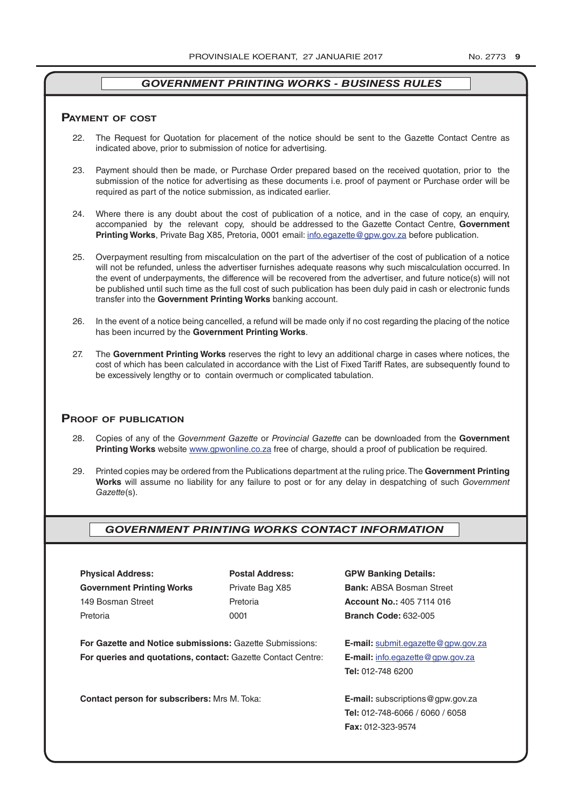#### **pAymenT of CosT**

- 22. The Request for Quotation for placement of the notice should be sent to the Gazette Contact Centre as indicated above, prior to submission of notice for advertising.
- 23. Payment should then be made, or Purchase Order prepared based on the received quotation, prior to the submission of the notice for advertising as these documents i.e. proof of payment or Purchase order will be required as part of the notice submission, as indicated earlier.
- 24. Where there is any doubt about the cost of publication of a notice, and in the case of copy, an enquiry, accompanied by the relevant copy, should be addressed to the Gazette Contact Centre, **Government Printing Works**, Private Bag X85, Pretoria, 0001 email: info.egazette@gpw.gov.za before publication.
- 25. Overpayment resulting from miscalculation on the part of the advertiser of the cost of publication of a notice will not be refunded, unless the advertiser furnishes adequate reasons why such miscalculation occurred. In the event of underpayments, the difference will be recovered from the advertiser, and future notice(s) will not be published until such time as the full cost of such publication has been duly paid in cash or electronic funds transfer into the **Government Printing Works** banking account.
- 26. In the event of a notice being cancelled, a refund will be made only if no cost regarding the placing of the notice has been incurred by the **Government Printing Works**.
- 27. The **Government Printing Works** reserves the right to levy an additional charge in cases where notices, the cost of which has been calculated in accordance with the List of Fixed Tariff Rates, are subsequently found to be excessively lengthy or to contain overmuch or complicated tabulation.

#### **proof of publiCATion**

- 28. Copies of any of the *Government Gazette* or *Provincial Gazette* can be downloaded from the **Government Printing Works** website www.gpwonline.co.za free of charge, should a proof of publication be required.
- 29. Printed copies may be ordered from the Publications department at the ruling price. The **Government Printing Works** will assume no liability for any failure to post or for any delay in despatching of such *Government Gazette*(s).

#### *GOVERNMENT PRINTING WORKS CONTACT INFORMATION*

**Physical Address: Postal Address: GPW Banking Details: Government Printing Works** Private Bag X85 **Bank:** ABSA Bosman Street 149 Bosman Street Pretoria **Account No.:** 405 7114 016 Pretoria 0001 **Branch Code:** 632-005

**For Gazette and Notice submissions:** Gazette Submissions: **E-mail:** submit.egazette@gpw.gov.za **For queries and quotations, contact:** Gazette Contact Centre: **E-mail:** info.egazette@gpw.gov.za

**Contact person for subscribers:** Mrs M. Toka: **E-mail:** subscriptions@gpw.gov.za

**Tel:** 012-748 6200

**Tel:** 012-748-6066 / 6060 / 6058 **Fax:** 012-323-9574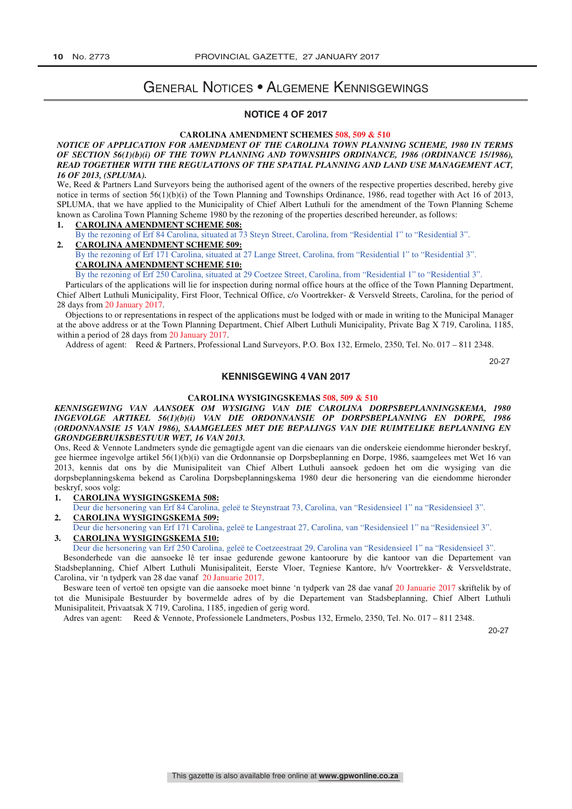# General Notices • Algemene Kennisgewings

#### **NOTICE 4 OF 2017**

#### **CAROLINA AMENDMENT SCHEMES 508, 509 & 510**

#### *NOTICE OF APPLICATION FOR AMENDMENT OF THE CAROLINA TOWN PLANNING SCHEME, 1980 IN TERMS OF SECTION 56(1)(b)(i) OF THE TOWN PLANNING AND TOWNSHIPS ORDINANCE, 1986 (ORDINANCE 15/1986), READ TOGETHER WITH THE REGULATIONS OF THE SPATIAL PLANNING AND LAND USE MANAGEMENT ACT, 16 OF 2013, (SPLUMA).*

We, Reed & Partners Land Surveyors being the authorised agent of the owners of the respective properties described, hereby give notice in terms of section 56(1)(b)(i) of the Town Planning and Townships Ordinance, 1986, read together with Act 16 of 2013, SPLUMA, that we have applied to the Municipality of Chief Albert Luthuli for the amendment of the Town Planning Scheme known as Carolina Town Planning Scheme 1980 by the rezoning of the properties described hereunder, as follows:

- **1. CAROLINA AMENDMENT SCHEME 508:**
- By the rezoning of Erf 84 Carolina, situated at 73 Steyn Street, Carolina, from "Residential 1" to "Residential 3". **2. CAROLINA AMENDMENT SCHEME 509:**
- By the rezoning of Erf 171 Carolina, situated at 27 Lange Street, Carolina, from "Residential 1" to "Residential 3". **CAROLINA AMENDMENT SCHEME 510:**

By the rezoning of Erf 250 Carolina, situated at 29 Coetzee Street, Carolina, from "Residential 1" to "Residential 3".

 Particulars of the applications will lie for inspection during normal office hours at the office of the Town Planning Department, Chief Albert Luthuli Municipality, First Floor, Technical Office, c/o Voortrekker- & Versveld Streets, Carolina, for the period of 28 days from 20 January 2017.

 Objections to or representations in respect of the applications must be lodged with or made in writing to the Municipal Manager at the above address or at the Town Planning Department, Chief Albert Luthuli Municipality, Private Bag X 719, Carolina, 1185, within a period of 28 days from 20 January 2017.

Address of agent: Reed & Partners, Professional Land Surveyors, P.O. Box 132, Ermelo, 2350, Tel. No. 017 – 811 2348.

20-27

#### **KENNISGEWING 4 VAN 2017**

#### **CAROLINA WYSIGINGSKEMAS 508, 509 & 510**

#### *KENNISGEWING VAN AANSOEK OM WYSIGING VAN DIE CAROLINA DORPSBEPLANNINGSKEMA, 1980 INGEVOLGE ARTIKEL 56(1)(b)(i) VAN DIE ORDONNANSIE OP DORPSBEPLANNING EN DORPE, 1986 (ORDONNANSIE 15 VAN 1986), SAAMGELEES MET DIE BEPALINGS VAN DIE RUIMTELIKE BEPLANNING EN GRONDGEBRUIKSBESTUUR WET, 16 VAN 2013.*

Ons, Reed & Vennote Landmeters synde die gemagtigde agent van die eienaars van die onderskeie eiendomme hieronder beskryf, gee hiermee ingevolge artikel 56(1)(b)(i) van die Ordonnansie op Dorpsbeplanning en Dorpe, 1986, saamgelees met Wet 16 van 2013, kennis dat ons by die Munisipaliteit van Chief Albert Luthuli aansoek gedoen het om die wysiging van die dorpsbeplanningskema bekend as Carolina Dorpsbeplanningskema 1980 deur die hersonering van die eiendomme hieronder beskryf, soos volg:

**1. CAROLINA WYSIGINGSKEMA 508:**

- Deur die hersonering van Erf 84 Carolina, geleë te Steynstraat 73, Carolina, van "Residensieel 1" na "Residensieel 3". **2. CAROLINA WYSIGINGSKEMA 509:**
- Deur die hersonering van Erf 171 Carolina, geleë te Langestraat 27, Carolina, van "Residensieel 1" na "Residensieel 3". **3. CAROLINA WYSIGINGSKEMA 510:**

Deur die hersonering van Erf 250 Carolina, geleë te Coetzeestraat 29, Carolina van "Residensieel 1" na "Residensieel 3".

 Besonderhede van die aansoeke lê ter insae gedurende gewone kantoorure by die kantoor van die Departement van Stadsbeplanning, Chief Albert Luthuli Munisipaliteit, Eerste Vloer, Tegniese Kantore, h/v Voortrekker- & Versveldstrate, Carolina, vir 'n tydperk van 28 dae vanaf 20 Januarie 2017.

 Besware teen of vertoë ten opsigte van die aansoeke moet binne 'n tydperk van 28 dae vanaf 20 Januarie 2017 skriftelik by of tot die Munisipale Bestuurder by bovermelde adres of by die Departement van Stadsbeplanning, Chief Albert Luthuli Munisipaliteit, Privaatsak X 719, Carolina, 1185, ingedien of gerig word.

Adres van agent: Reed & Vennote, Professionele Landmeters, Posbus 132, Ermelo, 2350, Tel. No. 017 – 811 2348.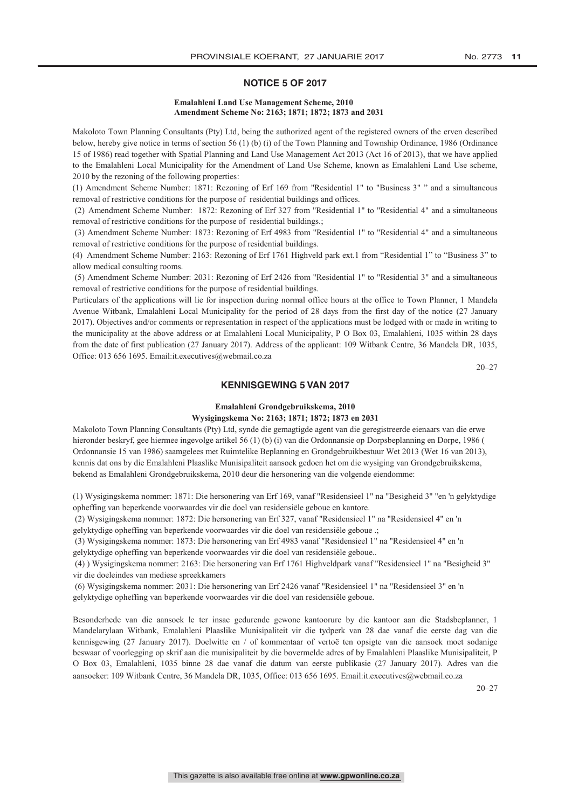#### **NOTICE 5 OF 2017**

#### **Emalahleni Land Use Management Scheme, 2010 Amendment Scheme No: 2163; 1871; 1872; 1873 and 2031 Emalahleni Land Use Management Scheme, 2010 Amendment Scheme No: 2163; 1871; 1872; 1873 and 2031**

Makoloto Town Planning Consultants (Pty) Ltd, being the authorized agent of the registered owners of the erven described below, hereby give notice in terms of section 56 (1) (b) (i) of the Town Planning and Township Ordinance, 1986 (Ordinance 15 of 1986) read together with Spatial Planning and Land Use Management Act 2013 (Act 16 of 2013), that we have applied to the Emalahleni Local Municipality for the Amendment of Land Use Scheme, known as Emalahleni Land Use scheme, 2010 by the rezoning of the following properties: to the Emalahleni Emalah menghalah di Local Municipality for the American Computer, known as Emalahleni Land Use scheme,

2010 by the reasing of the renoving properties:<br>(1) Amendment Scheme Number: 1871: Rezoning of Erf 169 from "Residential 1" to "Business 3" " and a simultaneous (1) Amendment Scheme Number: 1871: Rezoning of Erf 169 from "Residential 1" to "Business 3" " and a simulatedus<br>removal of restrictive conditions for the purpose of residential buildings and offices.

emoval of restrictive conditions for the purpose of restabilitative analysis and offices.<br>(2) Amendment Scheme Number: 1872: Rezoning of Erf 327 from "Residential 1" to "Residential 4" and a simultaneous removal of restrictive conditions for the purpose of residential buildings.;

(3) Amendment Scheme Number: 1873: Rezoning of Erf 4983 from "Residential 1" to "Residential 4" and a simultaneous removal of restrictive conditions for the purpose of residential buildings.  $\left(3\right)$  amendment scheme  $\left(4\right)$  and  $\left(5\right)$  from  $\left(6\right)$  from  $\left(7\right)$  and  $\left(8\right)$  and  $\left(7\right)$  and  $\left(8\right)$  scheme  $\left(7\right)$  and  $\left(8\right)$  and  $\left(9\right)$  and  $\left(10\right)$  and  $\left(10\right)$  and  $\left(10\right)$  and  $\left($ 

emoval of restrictive conditions for the purpose of restriction currency.<br>(4) Amendment Scheme Number: 2163: Rezoning of Erf 1761 Highveld park ext.1 from "Residential 1" to "Business 3" to allow medical consulting rooms. (4) Amendment Scheme Number: 2163: Rezoning of Erf 1761 Highveld park ext.1 from "Residential 1" to "Business 3" to

(5) Amendment Scheme Number: 2031: Rezoning of Erf 2426 from "Residential 1" to "Residential 3" and a simultaneous removal of restrictive conditions for the purpose of residential buildings.

Particulars of the applications will lie for inspection during normal office hours at the office to Town Planner, 1 Mandela Avenue Witbank, Emalahleni Local Municipality for the period of 28 days from the first day of the notice (27 January 2017). Objectives and/or comments or representation in respect of the applications must be lodged with or made in writing to the municipality at the above address or at Emalahleni Local Municipality, P O Box 03, Emalahleni, 1035 within 28 days from the date of first publication (27 January 2017). Address of the applicant: 109 Witbank Centre, 36 Mandela DR, 1035, From the date of first publication (27 January 2017). Address of the applicant: 109 Witbank Centre, 36 Mandela DR, 1035, Office: 013 656 1695. Email:it.executives@webmail.co.za

20–27  $20-27$ 

#### **KENNISGEWING 5 VAN 2017**

# **Emalahleni Grondgebruikskema, 2010 Emalahleni Grondgebruikskema, 2010 Wysigingskema No: 2163; 1871; 1872; 1873 en 2031 Wysigingskema No: 2163; 1871; 1872; 1873 en 2031**

Makoloto Town Planning Consultants (Pty) Ltd, synde die gemagtigde agent van die geregistreerde eienaars van die erwe hieronder beskryf, gee hiermee ingevolge artikel 56 (1) (b) (i) van die Ordonnansie op Dorpsbeplanning en Dorpe, 1986 ( Ordonnansie 15 van 1986) saamgelees met Ruimtelike Beplanning en Grondgebruikbestuur Wet 2013 (Wet 16 van 2013), kennis dat ons by die Emalahleni Plaaslike Munisipaliteit aansoek gedoen het om die wysiging van Grondgebruikskema, bekend as Emalahleni Grondgebruikskema, 2010 deur die hersonering van die volgende eiendomme: bekend as Emalahleni Grondgebruikskema, 2010 deur die hersonering van die volgende eiendomme:

(1) Wysigingskema nommer: 1871: Die hersonering van Erf 169, vanaf "Residensieel 1" na "Besigheid 3" "en 'n gelyktydige opheffing van beperkende voorwaardes vir die doel van residensiële geboue en kantore. opheffing van beperkende voorwaardes vir die doel van residensiële geboue en kantore.

epherings van Geperkenae voorwaardes van die doer van Eeste geoefde gebouw en 'n 'n 'n 'n 'n 'n 'n 'n 'n 'n 'n<br>Oostelijke koning van die door die hersonering van die door die koning van 'n 'n 'n 'n 'n 'n 'n 'n 'n 'n 'n 'n (2) Wysigingskema nommer: 1872: Die hersonering van Erf 327, vanaf "Residensieel 1" na "Residensieel 4" en 'n<br>
1. Lie de Santa Care de Santa Lie de Santa Care de Santa Care de Santa Care de Santa Care de Santa Care de Sa gelyktydige opheffing van beperkende voorwaardes vir die doel van residensiële geboue .;

Seizungskeman nommerskemaardige van Erf 4983. Die hersonering van Erf 4983 van Erf 4983 van die hersonering van Erf 4983 van die hersonering van Erf 4983 van die hersonering van die hersonering van die hersonering van die gelyktydige opheffing van beperkende voorwaardes vir die doel van residensiële geboue.. (3) Wysigingskema nommer: 1873: Die hersonering van Erf 4983 vanaf "Residensieel 1" na "Residensieel 4" en 'n

gelyktydige opheffing van beperkende voorwaardes vir die doel van residensiële geboue..

(4) Wysigingskema nommer: 2163: Die hersonering van Erf 1761 Highveldpark vanaf "Residensieel 1" na "Besigheid 3" vir die doeleindes van mediese spreekkamers vir die doeleindes van mediese spreekkamers (6) Wysigingskema nommer: 2031: Die hersonering van Erf 2426 vanaf "Residensieel 1" na "Residensieel 3" en 'n

(6) Wysigingskema nommer: 2031: Die hersonering van Erf 2426 vanaf "Residensieel 1" na "Residensieel 3" en 'n gelyktydige opheffing van beperkende voorwaardes vir die doel van residensiële geboue.

Besonderhede van die aansoek le ter insae gedurende gewone kantoorure by die kantoor aan die Stadsbeplanner, 1 Besonderhede van die aansoek le ter insae gedurende gewone kantoorure by die kantoor aan die Stadsbeplanner, 1 Mandelarylaan Witbank, Emalahleni Plaaslike Munisipaliteit vir die tydperk van 28 dae vanaf die eerste dag van die kennisgewing (27 January 2017). Doelwitte en / of kommentaar of vertoë ten opsigte van die aansoek moet sodanige beswaar of voorlegging op skrif aan die munisipaliteit by die bovermelde adres of by Emalahleni Plaaslike Munisipaliteit, P O Box 03, Emalahleni, 1035 binne 28 dae vanaf die datum van eerste publikasie (27 January 2017). Adres van die O Box 03, Emalahleni, 1035 binne 28 dae vanaf die datum van eerste publikasie (27 January 2017). Adres van die aansoeker: 109 Witbank Centre, 36 Mandela DR, 1035, Office: 013 656 1695. Email:it.executives@webmail.co.za aansoeker: 109 Witbank Centre, 36 Mandela DR, 1035, Office: 013 656 1695. Email:it.executives@webmail.co.za

20–27 20–27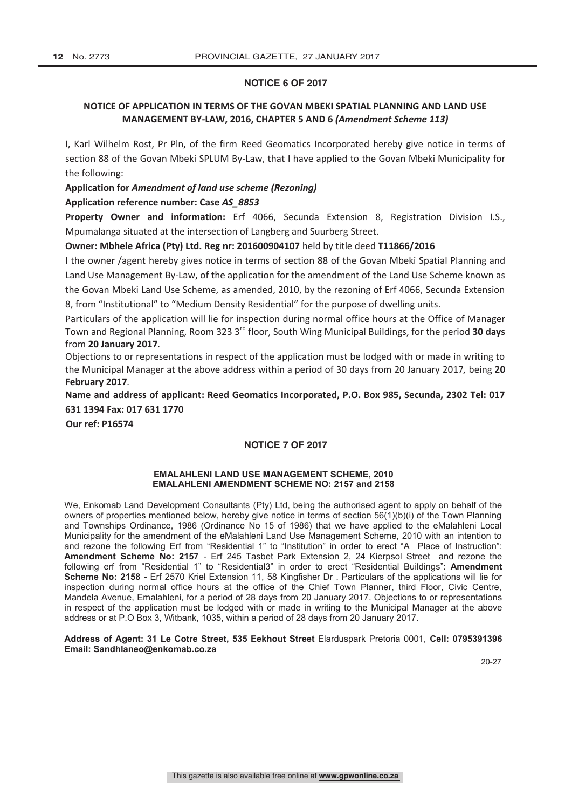#### **NOTICE 6 OF 2017**

#### **NOTICE OF APPLICATION IN TERMS OF THE GOVAN MBEKI SPATIAL PLANNING AND LAND USE MANAGEMENT BY-LAW, 2016, CHAPTER 5 AND 6** *(Amendment Scheme 113)*

I, Karl Wilhelm Rost, Pr Pln, of the firm Reed Geomatics Incorporated hereby give notice in terms of section 88 of the Govan Mbeki SPLUM By-Law, that I have applied to the Govan Mbeki Municipality for the following:

#### **Application for** *Amendment of land use scheme (Rezoning)*

#### **Application reference number: Case** *AS\_8853*

**Property Owner and information:** Erf 4066, Secunda Extension 8, Registration Division I.S., Mpumalanga situated at the intersection of Langberg and Suurberg Street.

#### **Owner: Mbhele Africa (Pty) Ltd. Reg nr: 201600904107** held by title deed **T11866/2016**

I the owner /agent hereby gives notice in terms of section 88 of the Govan Mbeki Spatial Planning and Land Use Management By-Law, of the application for the amendment of the Land Use Scheme known as the Govan Mbeki Land Use Scheme, as amended, 2010, by the rezoning of Erf 4066, Secunda Extension 8, from "Institutional" to "Medium Density Residential" for the purpose of dwelling units.

Particulars of the application will lie for inspection during normal office hours at the Office of Manager Town and Regional Planning, Room 323 3rd floor, South Wing Municipal Buildings, for the period **30 days** from **20 January 2017***.*

Objections to or representations in respect of the application must be lodged with or made in writing to the Municipal Manager at the above address within a period of 30 days from 20 January 2017*,* being **20 February 2017***.*

**Name and address of applicant: Reed Geomatics Incorporated, P.O. Box 985, Secunda, 2302 Tel: 017 631 1394 Fax: 017 631 1770**

**Our ref: P16574**

#### **NOTICE 7 OF 2017**

#### **EMALAHLENI LAND USE MANAGEMENT SCHEME, 2010 EMALAHLENI AMENDMENT SCHEME NO: 2157 and 2158**

We, Enkomab Land Development Consultants (Pty) Ltd, being the authorised agent to apply on behalf of the owners of properties mentioned below, hereby give notice in terms of section 56(1)(b)(i) of the Town Planning and Townships Ordinance, 1986 (Ordinance No 15 of 1986) that we have applied to the eMalahleni Local Municipality for the amendment of the eMalahleni Land Use Management Scheme, 2010 with an intention to and rezone the following Erf from "Residential 1" to "Institution" in order to erect "A Place of Instruction": **Amendment Scheme No: 2157** - Erf 245 Tasbet Park Extension 2, 24 Kierpsol Street and rezone the following erf from "Residential 1" to "Residential3" in order to erect "Residential Buildings": **Amendment Scheme No: 2158** - Erf 2570 Kriel Extension 11, 58 Kingfisher Dr . Particulars of the applications will lie for inspection during normal office hours at the office of the Chief Town Planner, third Floor, Civic Centre, Mandela Avenue, Emalahleni, for a period of 28 days from 20 January 2017. Objections to or representations in respect of the application must be lodged with or made in writing to the Municipal Manager at the above address or at P.O Box 3, Witbank, 1035, within a period of 28 days from 20 January 2017.

#### **Address of Agent: 31 Le Cotre Street, 535 Eekhout Street** Elarduspark Pretoria 0001, **Cell: 0795391396 Email: Sandhlaneo@enkomab.co.za**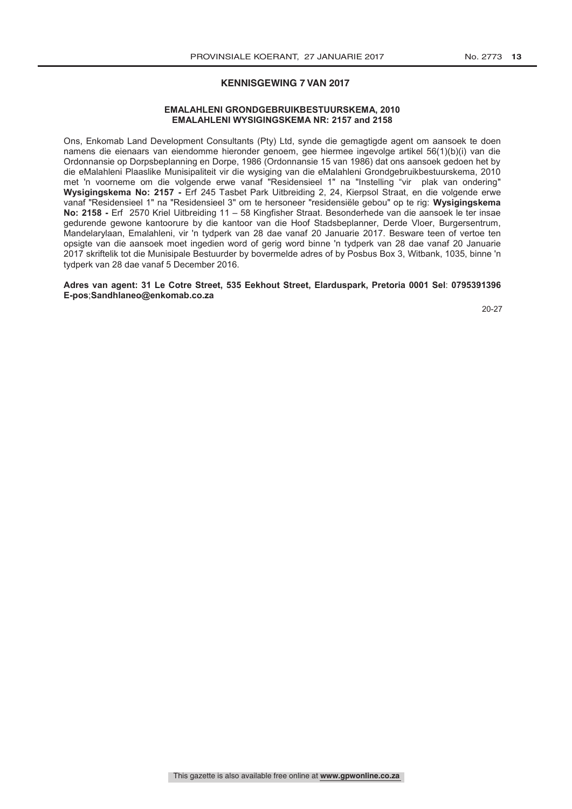#### **KENNISGEWING 7 VAN 2017**

#### **EMALAHLENI GRONDGEBRUIKBESTUURSKEMA, 2010 EMALAHLENI WYSIGINGSKEMA NR: 2157 and 2158**

Ons, Enkomab Land Development Consultants (Pty) Ltd, synde die gemagtigde agent om aansoek te doen namens die eienaars van eiendomme hieronder genoem, gee hiermee ingevolge artikel 56(1)(b)(i) van die Ordonnansie op Dorpsbeplanning en Dorpe, 1986 (Ordonnansie 15 van 1986) dat ons aansoek gedoen het by die eMalahleni Plaaslike Munisipaliteit vir die wysiging van die eMalahleni Grondgebruikbestuurskema, 2010 met 'n voorneme om die volgende erwe vanaf "Residensieel 1" na "Instelling "vir plak van ondering" **Wysigingskema No: 2157 -** Erf 245 Tasbet Park Uitbreiding 2, 24, Kierpsol Straat, en die volgende erwe vanaf "Residensieel 1" na "Residensieel 3" om te hersoneer "residensiële gebou" op te rig: **Wysigingskema No: 2158 -** Erf2570 Kriel Uitbreiding 11 – 58 Kingfisher Straat. Besonderhede van die aansoek le ter insae gedurende gewone kantoorure by die kantoor van die Hoof Stadsbeplanner, Derde Vloer, Burgersentrum, Mandelarylaan, Emalahleni, vir 'n tydperk van 28 dae vanaf 20 Januarie 2017. Besware teen of vertoe ten opsigte van die aansoek moet ingedien word of gerig word binne 'n tydperk van 28 dae vanaf 20 Januarie 2017 skriftelik tot die Munisipale Bestuurder by bovermelde adres of by Posbus Box 3, Witbank, 1035, binne 'n tydperk van 28 dae vanaf 5 December 2016.

**Adres van agent: 31 Le Cotre Street, 535 Eekhout Street, Elarduspark, Pretoria 0001 Sel**: **0795391396 E-pos**;**Sandhlaneo@enkomab.co.za**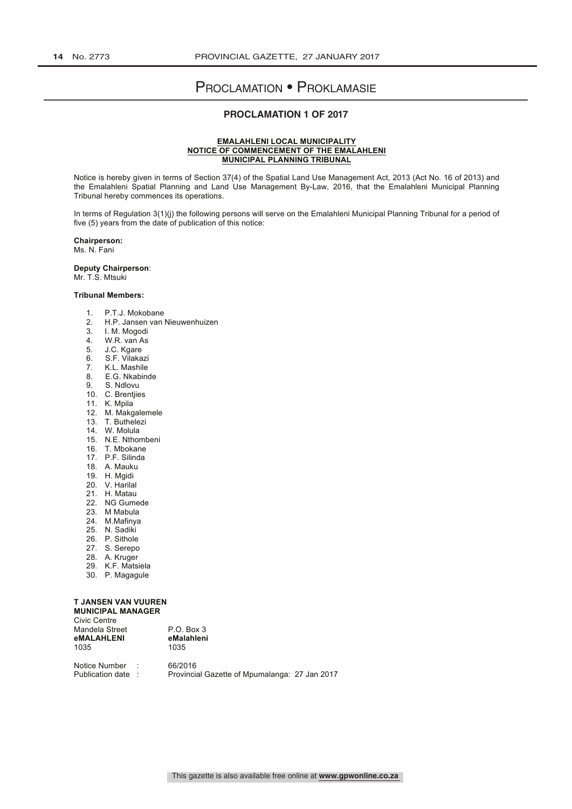# Proclamation • Proklamasie

#### **PROCLAMATION 1 OF 2017**

#### **EMALAHLENI LOCAL MUNICIPALITY NOTICE OF COMMENCEMENT OF THE EMALAHLENI MUNICIPAL PLANNING TRIBUNAL**

Notice is hereby given in terms of Section 37(4) of the Spatial Land Use Management Act, 2013 (Act No. 16 of 2013) and the Emalahleni Spatial Planning and Land Use Management By-Law, 2016, that the Emalahleni Municipal Planning Tribunal hereby commences its operations.

In terms of Regulation 3(1)(j) the following persons will serve on the Emalahleni Municipal Planning Tribunal for a period of five (5) years from the date of publication of this notice:

**Chairperson:** Ms. N. Fani

**Deputy Chairperson**:

Mr. T.S. Mtsuki

#### **Tribunal Members:**

- 1. P.T.J. Mokobane<br>2. H.P. Jansen van
- 2. H.P. Jansen van Nieuwenhuizen
- 3. I. M. Mogodi
- 4. W.R. van As
- 5. J.C. Kgare
- 6. S.F. Vilakazi
- 7. K.L. Mashile<br>8 E.G. Nkabing
- E.G. Nkabinde
- 9. S. Ndlovu
- 10. C. Brentjies
- 11. K. Mpila
- 12. M. Makgalemele
- 13. T. Buthelezi
- 14. W. Molula
- 15. N.E. Nthombeni
- 16. T. Mbokane
- 17. P.F. Silinda
- 18. A. Mauku
- 19. H. Mgidi
- 20. V. Harilal
- 21. H. Matau
- 22. NG Gumede
- 23. M Mabula
- 24. M.Mafinya
- 25. N. Sadiki
- 26. P. Sithole
- 27. S. Serepo
- 28. A. Kruger
- 29. K.F. Matsiela
- 30. P. Magagule

#### **T JANSEN VAN VUUREN**

| <b>MUNICIPAL MANAGER</b> |
|--------------------------|
| Civic Centre             |
| Mandela Street           |
|                          |

1035

P.O. Box 3<br>eMalahleni **eMALAHLENI eMalahleni eMalah** 

Notice Number : 66/2016<br>Publication date : Provincia Provincial Gazette of Mpumalanga: 27 Jan 2017

This gazette is also available free online at **www.gpwonline.co.za**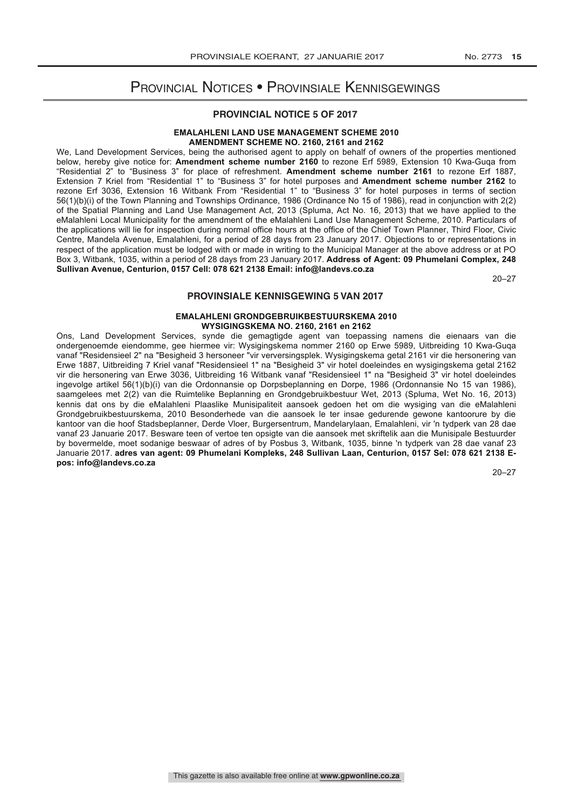# Provincial Notices • Provinsiale Kennisgewings

#### **PROVINCIAL NOTICE 5 OF 2017**

#### **EMALAHLENI LAND USE MANAGEMENT SCHEME 2010 AMENDMENT SCHEME NO. 2160, 2161 and 2162**

We, Land Development Services, being the authorised agent to apply on behalf of owners of the properties mentioned below, hereby give notice for: **Amendment scheme number 2160** to rezone Erf 5989, Extension 10 Kwa-Guqa from "Residential 2" to "Business 3" for place of refreshment. **Amendment scheme number 2161** to rezone Erf 1887, Extension 7 Kriel from "Residential 1" to "Business 3" for hotel purposes and **Amendment scheme number 2162** to rezone Erf 3036, Extension 16 Witbank From "Residential 1" to "Business 3" for hotel purposes in terms of section 56(1)(b)(i) of the Town Planning and Townships Ordinance, 1986 (Ordinance No 15 of 1986), read in conjunction with 2(2) of the Spatial Planning and Land Use Management Act, 2013 (Spluma, Act No. 16, 2013) that we have applied to the eMalahleni Local Municipality for the amendment of the eMalahleni Land Use Management Scheme, 2010. Particulars of the applications will lie for inspection during normal office hours at the office of the Chief Town Planner, Third Floor, Civic Centre, Mandela Avenue, Emalahleni, for a period of 28 days from 23 January 2017. Objections to or representations in respect of the application must be lodged with or made in writing to the Municipal Manager at the above address or at PO Box 3, Witbank, 1035, within a period of 28 days from 23 January 2017. **Address of Agent: 09 Phumelani Complex, 248 Sullivan Avenue, Centurion, 0157 Cell: 078 621 2138 Email: info@landevs.co.za**

20–27

#### **PROVINSIALE KENNISGEWING 5 VAN 2017**

#### **EMALAHLENI GRONDGEBRUIKBESTUURSKEMA 2010 WYSIGINGSKEMA NO. 2160, 2161 en 2162**

Ons, Land Development Services, synde die gemagtigde agent van toepassing namens die eienaars van die ondergenoemde eiendomme, gee hiermee vir: Wysigingskema nommer 2160 op Erwe 5989, Uitbreiding 10 Kwa-Guqa vanaf "Residensieel 2" na "Besigheid 3 hersoneer "vir verversingsplek. Wysigingskema getal 2161 vir die hersonering van Erwe 1887, Uitbreiding 7 Kriel vanaf "Residensieel 1" na "Besigheid 3" vir hotel doeleindes en wysigingskema getal 2162 vir die hersonering van Erwe 3036, Uitbreiding 16 Witbank vanaf "Residensieel 1" na "Besigheid 3" vir hotel doeleindes ingevolge artikel 56(1)(b)(i) van die Ordonnansie op Dorpsbeplanning en Dorpe, 1986 (Ordonnansie No 15 van 1986), saamgelees met 2(2) van die Ruimtelike Beplanning en Grondgebruikbestuur Wet, 2013 (Spluma, Wet No. 16, 2013) kennis dat ons by die eMalahleni Plaaslike Munisipaliteit aansoek gedoen het om die wysiging van die eMalahleni Grondgebruikbestuurskema, 2010 Besonderhede van die aansoek le ter insae gedurende gewone kantoorure by die kantoor van die hoof Stadsbeplanner, Derde Vloer, Burgersentrum, Mandelarylaan, Emalahleni, vir 'n tydperk van 28 dae vanaf 23 Januarie 2017. Besware teen of vertoe ten opsigte van die aansoek met skriftelik aan die Munisipale Bestuurder by bovermelde, moet sodanige beswaar of adres of by Posbus 3, Witbank, 1035, binne 'n tydperk van 28 dae vanaf 23 Januarie 2017. **adres van agent: 09 Phumelani Kompleks, 248 Sullivan Laan, Centurion, 0157 Sel: 078 621 2138 Epos: info@landevs.co.za**

20–27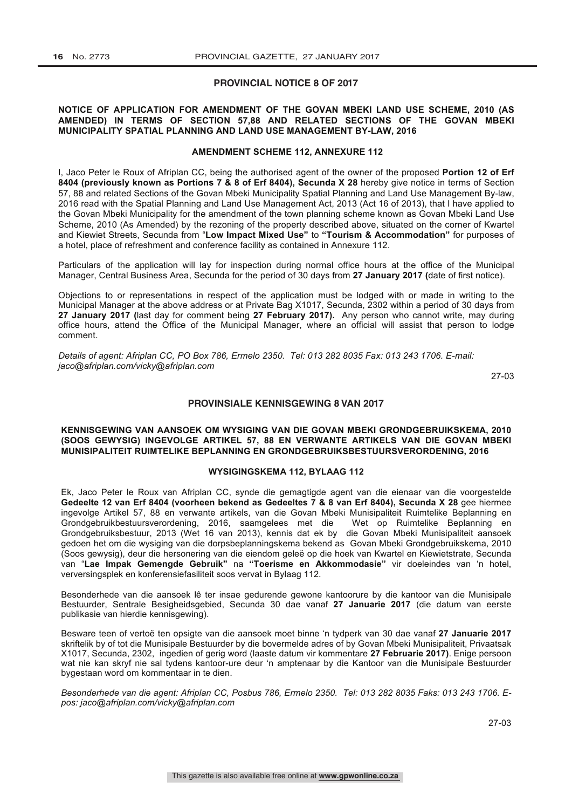#### **PROVINCIAL NOTICE 8 OF 2017**

#### **NOTICE OF APPLICATION FOR AMENDMENT OF THE GOVAN MBEKI LAND USE SCHEME, 2010 (AS AMENDED) IN TERMS OF SECTION 57,88 AND RELATED SECTIONS OF THE GOVAN MBEKI MUNICIPALITY SPATIAL PLANNING AND LAND USE MANAGEMENT BY-LAW, 2016**

#### **AMENDMENT SCHEME 112, ANNEXURE 112**

I, Jaco Peter le Roux of Afriplan CC, being the authorised agent of the owner of the proposed **Portion 12 of Erf 8404 (previously known as Portions 7 & 8 of Erf 8404), Secunda X 28** hereby give notice in terms of Section 57, 88 and related Sections of the Govan Mbeki Municipality Spatial Planning and Land Use Management By-law, 2016 read with the Spatial Planning and Land Use Management Act, 2013 (Act 16 of 2013), that I have applied to the Govan Mbeki Municipality for the amendment of the town planning scheme known as Govan Mbeki Land Use Scheme, 2010 (As Amended) by the rezoning of the property described above, situated on the corner of Kwartel and Kiewiet Streets, Secunda from "**Low Impact Mixed Use"** to **"Tourism & Accommodation"** for purposes of a hotel, place of refreshment and conference facility as contained in Annexure 112.

Particulars of the application will lay for inspection during normal office hours at the office of the Municipal Manager, Central Business Area, Secunda for the period of 30 days from **27 January 2017 (**date of first notice).

Objections to or representations in respect of the application must be lodged with or made in writing to the Municipal Manager at the above address or at Private Bag X1017, Secunda, 2302 within a period of 30 days from **27 January 2017 (**last day for comment being **27 February 2017).** Any person who cannot write, may during office hours, attend the Office of the Municipal Manager, where an official will assist that person to lodge comment.

*Details of agent: Afriplan CC, PO Box 786, Ermelo 2350. Tel: 013 282 8035 Fax: 013 243 1706. E-mail: jaco@afriplan.com/vicky@afriplan.com*

27-03

#### **PROVINSIALE KENNISGEWING 8 VAN 2017**

#### **KENNISGEWING VAN AANSOEK OM WYSIGING VAN DIE GOVAN MBEKI GRONDGEBRUIKSKEMA, 2010 (SOOS GEWYSIG) INGEVOLGE ARTIKEL 57, 88 EN VERWANTE ARTIKELS VAN DIE GOVAN MBEKI MUNISIPALITEIT RUIMTELIKE BEPLANNING EN GRONDGEBRUIKSBESTUURSVERORDENING, 2016**

#### **WYSIGINGSKEMA 112, BYLAAG 112**

Ek, Jaco Peter le Roux van Afriplan CC, synde die gemagtigde agent van die eienaar van die voorgestelde **Gedeelte 12 van Erf 8404 (voorheen bekend as Gedeeltes 7 & 8 van Erf 8404), Secunda X 28** gee hiermee ingevolge Artikel 57, 88 en verwante artikels, van die Govan Mbeki Munisipaliteit Ruimtelike Beplanning en Grondgebruikbestuursverordening, 2016, saamgelees met die Wet op Ruimtelike Beplanning en Grondgebruiksbestuur, 2013 (Wet 16 van 2013), kennis dat ek by die Govan Mbeki Munisipaliteit aansoek gedoen het om die wysiging van die dorpsbeplanningskema bekend as Govan Mbeki Grondgebruikskema, 2010 (Soos gewysig), deur die hersonering van die eiendom geleë op die hoek van Kwartel en Kiewietstrate, Secunda van "**Lae Impak Gemengde Gebruik"** na **"Toerisme en Akkommodasie"** vir doeleindes van 'n hotel, verversingsplek en konferensiefasiliteit soos vervat in Bylaag 112.

Besonderhede van die aansoek lê ter insae gedurende gewone kantoorure by die kantoor van die Munisipale Bestuurder, Sentrale Besigheidsgebied, Secunda 30 dae vanaf **27 Januarie 2017** (die datum van eerste publikasie van hierdie kennisgewing).

Besware teen of vertoë ten opsigte van die aansoek moet binne 'n tydperk van 30 dae vanaf **27 Januarie 2017** skriftelik by of tot die Munisipale Bestuurder by die bovermelde adres of by Govan Mbeki Munisipaliteit, Privaatsak X1017, Secunda, 2302, ingedien of gerig word (laaste datum vir kommentare **27 Februarie 2017)**. Enige persoon wat nie kan skryf nie sal tydens kantoor-ure deur 'n amptenaar by die Kantoor van die Munisipale Bestuurder bygestaan word om kommentaar in te dien.

*Besonderhede van die agent: Afriplan CC, Posbus 786, Ermelo 2350. Tel: 013 282 8035 Faks: 013 243 1706. Epos: jaco@afriplan.com/vicky@afriplan.com*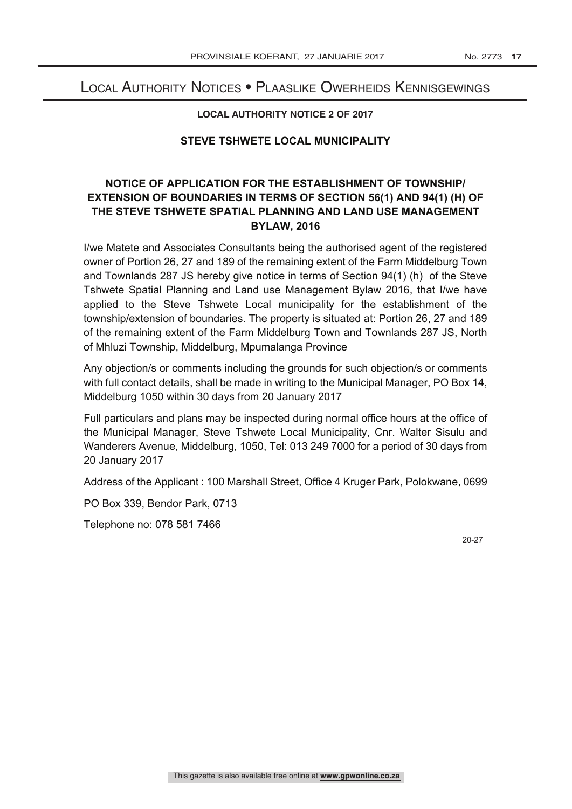# Local Authority Notices • Plaaslike Owerheids Kennisgewings

#### **LOCAL AUTHORITY NOTICE 2 OF 2017**

#### **STEVE TSHWETE LOCAL MUNICIPALITY**

# **NOTICE OF APPLICATION FOR THE ESTABLISHMENT OF TOWNSHIP/ EXTENSION OF BOUNDARIES IN TERMS OF SECTION 56(1) AND 94(1) (H) OF THE STEVE TSHWETE SPATIAL PLANNING AND LAND USE MANAGEMENT BYLAW, 2016**

I/we Matete and Associates Consultants being the authorised agent of the registered owner of Portion 26, 27 and 189 of the remaining extent of the Farm Middelburg Town and Townlands 287 JS hereby give notice in terms of Section 94(1) (h) of the Steve Tshwete Spatial Planning and Land use Management Bylaw 2016, that I/we have applied to the Steve Tshwete Local municipality for the establishment of the township/extension of boundaries. The property is situated at: Portion 26, 27 and 189 of the remaining extent of the Farm Middelburg Town and Townlands 287 JS, North of Mhluzi Township, Middelburg, Mpumalanga Province

Any objection/s or comments including the grounds for such objection/s or comments with full contact details, shall be made in writing to the Municipal Manager, PO Box 14, Middelburg 1050 within 30 days from 20 January 2017

Full particulars and plans may be inspected during normal office hours at the office of the Municipal Manager, Steve Tshwete Local Municipality, Cnr. Walter Sisulu and Wanderers Avenue, Middelburg, 1050, Tel: 013 249 7000 for a period of 30 days from 20 January 2017

Address of the Applicant : 100 Marshall Street, Office 4 Kruger Park, Polokwane, 0699

PO Box 339, Bendor Park, 0713

Telephone no: 078 581 7466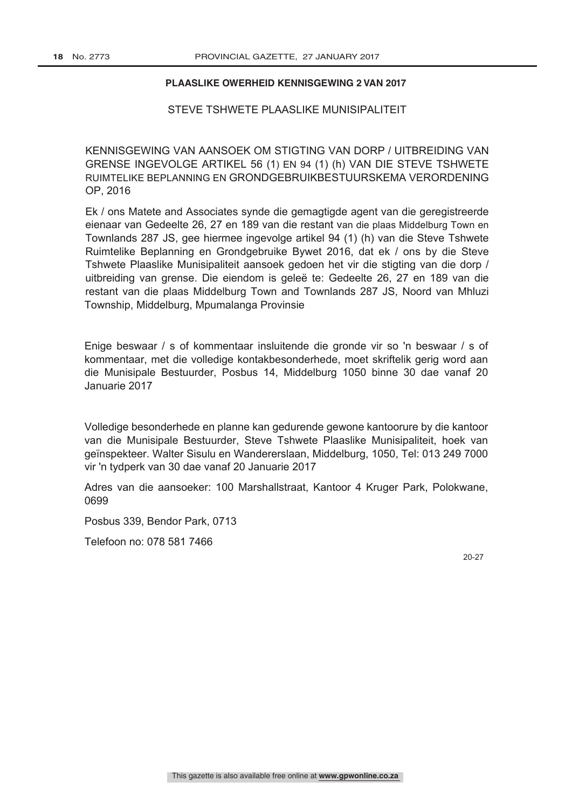#### **PLAASLIKE OWERHEID KENNISGEWING 2 VAN 2017**

#### STEVE TSHWETE PLAASLIKE MUNISIPALITEIT

KENNISGEWING VAN AANSOEK OM STIGTING VAN DORP / UITBREIDING VAN GRENSE INGEVOLGE ARTIKEL 56 (1) EN 94 (1) (h) VAN DIE STEVE TSHWETE RUIMTELIKE BEPLANNING EN GRONDGEBRUIKBESTUURSKEMA VERORDENING OP, 2016

Township, Middelburg, Mpumalanga Provinsie Ek / ons Matete and Associates synde die gemagtigde agent van die geregistreerde eienaar van Gedeelte 26, 27 en 189 van die restant van die plaas Middelburg Town en Townlands 287 JS, gee hiermee ingevolge artikel 94 (1) (h) van die Steve Tshwete Ruimtelike Beplanning en Grondgebruike Bywet 2016, dat ek / ons by die Steve Tshwete Plaaslike Munisipaliteit aansoek gedoen het vir die stigting van die dorp / uitbreiding van grense. Die eiendom is geleë te: Gedeelte 26, 27 en 189 van die restant van die plaas Middelburg Town and Townlands 287 JS, Noord van Mhluzi

Enige beswaar / s of kommentaar insluitende die gronde vir so 'n beswaar / s of kommentaar, met die volledige kontakbesonderhede, moet skriftelik gerig word aan die Munisipale Bestuurder, Posbus 14, Middelburg 1050 binne 30 dae vanaf 20 Januarie 2017

Volledige besonderhede en planne kan gedurende gewone kantoorure by die kantoor van die Munisipale Bestuurder, Steve Tshwete Plaaslike Munisipaliteit, hoek van geïnspekteer. Walter Sisulu en Wandererslaan, Middelburg, 1050, Tel: 013 249 7000 vir 'n tydperk van 30 dae vanaf 20 Januarie 2017

Adres van die aansoeker: 100 Marshallstraat, Kantoor 4 Kruger Park, Polokwane, 0699

Posbus 339, Bendor Park, 0713

Telefoon no: 078 581 7466